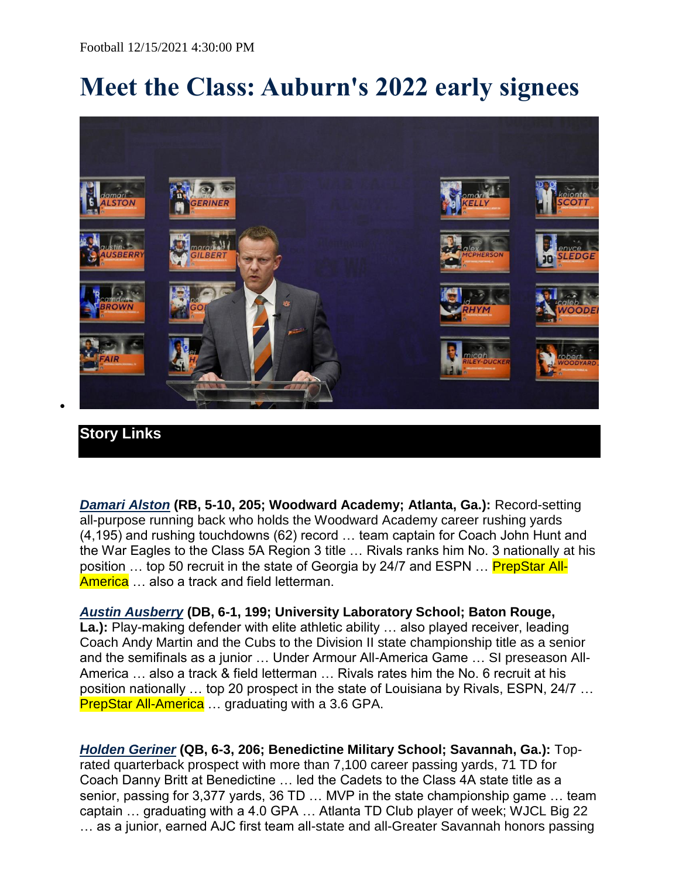## **Meet the Class: Auburn's 2022 early signees**



## **Story Links**

 $\bullet$ 

*[Damari Alston](https://auburntigers.com/roster.aspx?rp_id=17874)* **(RB, 5-10, 205; Woodward Academy; Atlanta, Ga.):** Record-setting all-purpose running back who holds the Woodward Academy career rushing yards (4,195) and rushing touchdowns (62) record … team captain for Coach John Hunt and the War Eagles to the Class 5A Region 3 title … Rivals ranks him No. 3 nationally at his position ... top 50 recruit in the state of Georgia by 24/7 and ESPN ... **PrepStar All-**America ... also a track and field letterman.

*[Austin Ausberry](https://auburntigers.com/roster.aspx?rp_id=17882)* **(DB, 6-1, 199; University Laboratory School; Baton Rouge,**  La.): Play-making defender with elite athletic ability ... also played receiver, leading Coach Andy Martin and the Cubs to the Division II state championship title as a senior and the semifinals as a junior … Under Armour All-America Game … SI preseason All-America … also a track & field letterman … Rivals rates him the No. 6 recruit at his position nationally … top 20 prospect in the state of Louisiana by Rivals, ESPN, 24/7 … **PrepStar All-America** ... graduating with a 3.6 GPA.

*[Holden Geriner](https://auburntigers.com/roster.aspx?rp_id=17873)* **(QB, 6-3, 206; Benedictine Military School; Savannah, Ga.):** Toprated quarterback prospect with more than 7,100 career passing yards, 71 TD for Coach Danny Britt at Benedictine … led the Cadets to the Class 4A state title as a senior, passing for 3,377 yards, 36 TD … MVP in the state championship game … team captain … graduating with a 4.0 GPA … Atlanta TD Club player of week; WJCL Big 22 … as a junior, earned AJC first team all-state and all-Greater Savannah honors passing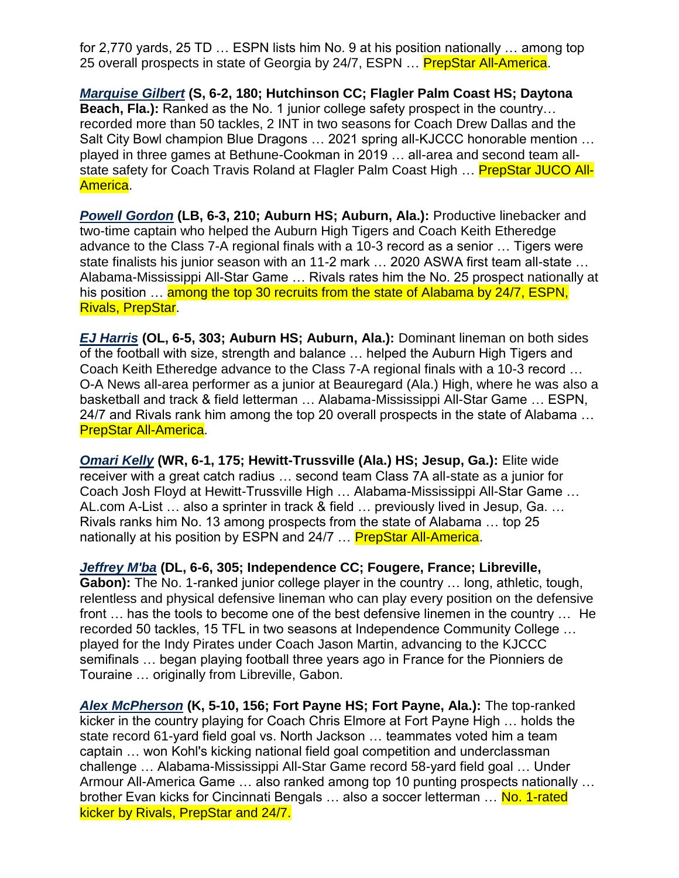for 2,770 yards, 25 TD … ESPN lists him No. 9 at his position nationally … among top 25 overall prospects in state of Georgia by 24/7, ESPN ... **PrepStar All-America**.

*[Marquise Gilbert](https://auburntigers.com/roster.aspx?rp_id=17887)* **(S, 6-2, 180; Hutchinson CC; Flagler Palm Coast HS; Daytona Beach, Fla.):** Ranked as the No. 1 junior college safety prospect in the country… recorded more than 50 tackles, 2 INT in two seasons for Coach Drew Dallas and the Salt City Bowl champion Blue Dragons … 2021 spring all-KJCCC honorable mention … played in three games at Bethune-Cookman in 2019 … all-area and second team allstate safety for Coach Travis Roland at Flagler Palm Coast High ... **PrepStar JUCO All-**America.

*[Powell Gordon](https://auburntigers.com/roster.aspx?rp_id=17884)* **(LB, 6-3, 210; Auburn HS; Auburn, Ala.):** Productive linebacker and two-time captain who helped the Auburn High Tigers and Coach Keith Etheredge advance to the Class 7-A regional finals with a 10-3 record as a senior … Tigers were state finalists his junior season with an 11-2 mark … 2020 ASWA first team all-state … Alabama-Mississippi All-Star Game … Rivals rates him the No. 25 prospect nationally at his position ... among the top 30 recruits from the state of Alabama by 24/7, ESPN, Rivals, PrepStar.

*[EJ Harris](https://auburntigers.com/roster.aspx?rp_id=17878)* **(OL, 6-5, 303; Auburn HS; Auburn, Ala.):** Dominant lineman on both sides of the football with size, strength and balance … helped the Auburn High Tigers and Coach Keith Etheredge advance to the Class 7-A regional finals with a 10-3 record … O-A News all-area performer as a junior at Beauregard (Ala.) High, where he was also a basketball and track & field letterman … Alabama-Mississippi All-Star Game … ESPN, 24/7 and Rivals rank him among the top 20 overall prospects in the state of Alabama … PrepStar All-America.

*[Omari Kelly](https://auburntigers.com/roster.aspx?rp_id=17876)* **(WR, 6-1, 175; Hewitt-Trussville (Ala.) HS; Jesup, Ga.):** Elite wide receiver with a great catch radius … second team Class 7A all-state as a junior for Coach Josh Floyd at Hewitt-Trussville High … Alabama-Mississippi All-Star Game … AL.com A-List … also a sprinter in track & field … previously lived in Jesup, Ga. … Rivals ranks him No. 13 among prospects from the state of Alabama … top 25 nationally at his position by ESPN and 24/7 ... **PrepStar All-America**.

*[Jeffrey M'ba](https://auburntigers.com/roster.aspx?rp_id=17890)* **(DL, 6-6, 305; Independence CC; Fougere, France; Libreville, Gabon):** The No. 1-ranked junior college player in the country … long, athletic, tough, relentless and physical defensive lineman who can play every position on the defensive front … has the tools to become one of the best defensive linemen in the country … He recorded 50 tackles, 15 TFL in two seasons at Independence Community College … played for the Indy Pirates under Coach Jason Martin, advancing to the KJCCC semifinals … began playing football three years ago in France for the Pionniers de Touraine … originally from Libreville, Gabon.

*[Alex McPherson](https://auburntigers.com/roster.aspx?rp_id=17879)* **(K, 5-10, 156; Fort Payne HS; Fort Payne, Ala.):** The top-ranked kicker in the country playing for Coach Chris Elmore at Fort Payne High … holds the state record 61-yard field goal vs. North Jackson … teammates voted him a team captain … won Kohl's kicking national field goal competition and underclassman challenge … Alabama-Mississippi All-Star Game record 58-yard field goal … Under Armour All-America Game … also ranked among top 10 punting prospects nationally … brother Evan kicks for Cincinnati Bengals ... also a soccer letterman ... No. 1-rated kicker by Rivals, PrepStar and 24/7.